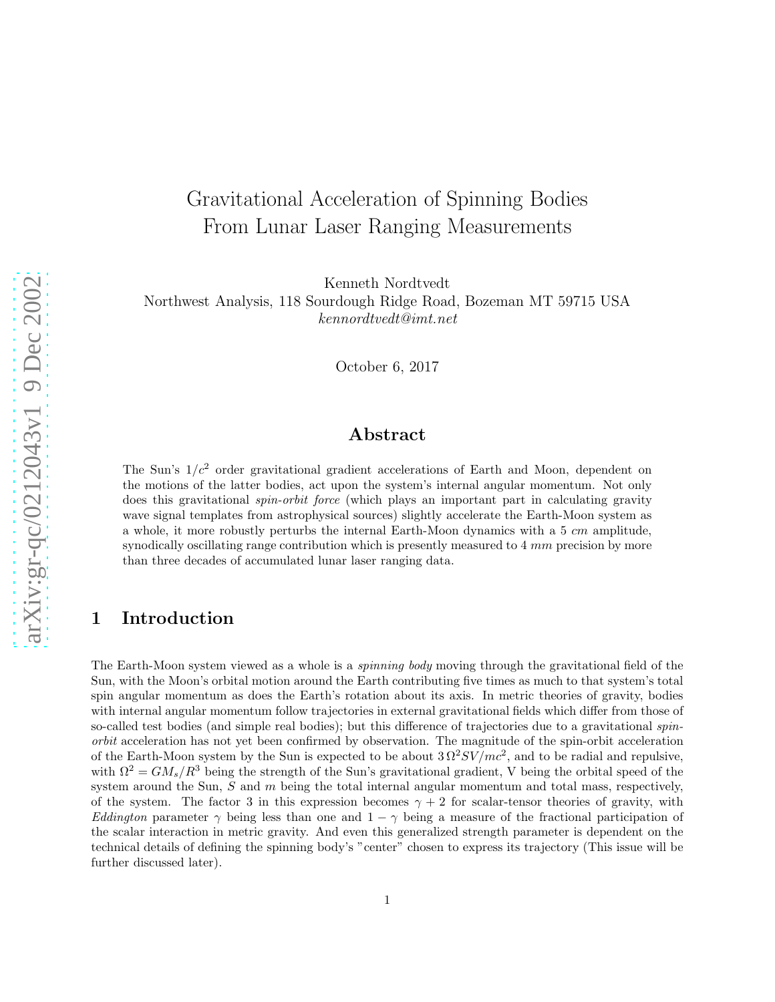# Gravitational Acceleration of Spinning Bodies From Lunar Laser Ranging Measurements

Kenneth Nordtvedt

Northwest Analysis, 118 Sourdough Ridge Road, Bozeman MT 59715 USA kennordtvedt@imt.net

October 6, 2017

# Abstract

The Sun's  $1/c^2$  order gravitational gradient accelerations of Earth and Moon, dependent on the motions of the latter bodies, act upon the system's internal angular momentum. Not only does this gravitational *spin-orbit force* (which plays an important part in calculating gravity wave signal templates from astrophysical sources) slightly accelerate the Earth-Moon system as a whole, it more robustly perturbs the internal Earth-Moon dynamics with a 5 cm amplitude, synodically oscillating range contribution which is presently measured to 4 mm precision by more than three decades of accumulated lunar laser ranging data.

# 1 Introduction

The Earth-Moon system viewed as a whole is a spinning body moving through the gravitational field of the Sun, with the Moon's orbital motion around the Earth contributing five times as much to that system's total spin angular momentum as does the Earth's rotation about its axis. In metric theories of gravity, bodies with internal angular momentum follow trajectories in external gravitational fields which differ from those of so-called test bodies (and simple real bodies); but this difference of trajectories due to a gravitational spinorbit acceleration has not yet been confirmed by observation. The magnitude of the spin-orbit acceleration of the Earth-Moon system by the Sun is expected to be about  $3 \Omega^2 SV/mc^2$ , and to be radial and repulsive, with  $\Omega^2 = GM_s/R^3$  being the strength of the Sun's gravitational gradient, V being the orbital speed of the system around the Sun,  $S$  and  $m$  being the total internal angular momentum and total mass, respectively, of the system. The factor 3 in this expression becomes  $\gamma + 2$  for scalar-tensor theories of gravity, with Eddington parameter  $\gamma$  being less than one and  $1 - \gamma$  being a measure of the fractional participation of the scalar interaction in metric gravity. And even this generalized strength parameter is dependent on the technical details of defining the spinning body's "center" chosen to express its trajectory (This issue will be further discussed later).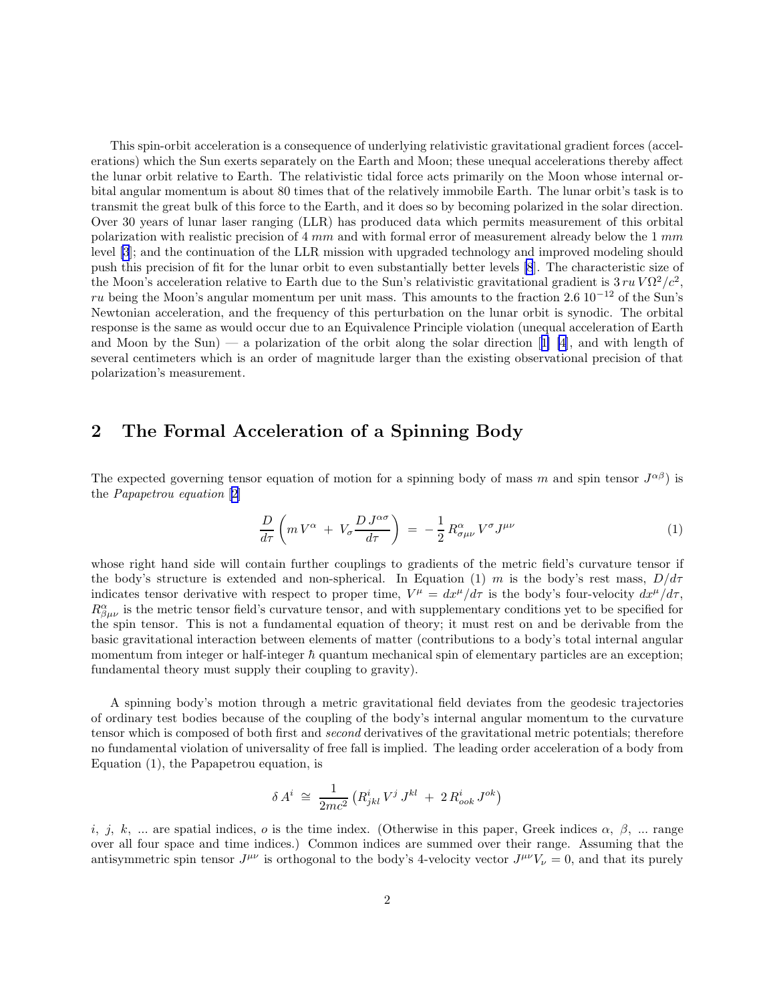This spin-orbit acceleration is a consequence of underlying relativistic gravitational gradient forces (accelerations) which the Sun exerts separately on the Earth and Moon; these unequal accelerations thereby affect the lunar orbit relative to Earth. The relativistic tidal force acts primarily on the Moon whose internal orbital angular momentum is about 80 times that of the relatively immobile Earth. The lunar orbit's task is to transmit the great bulk of this force to the Earth, and it does so by becoming polarized in the solar direction. Over 30 years of lunar laser ranging (LLR) has produced data which permits measurement of this orbital polarization with realistic precision of  $4 \, mm$  and with formal error of measurement already below the  $1 \, mm$ level [\[3](#page-8-0)]; and the continuation of the LLR mission with upgraded technology and improved modeling should push this precision of fit for the lunar orbit to even substantially better levels [\[8](#page-9-0)]. The characteristic size of the Moon's acceleration relative to Earth due to the Sun's relativistic gravitational gradient is  $3 ru\sqrt{\Omega^2/c^2}$ , ru being the Moon's angular momentum per unit mass. This amounts to the fraction 2.6 10<sup>-12</sup> of the Sun's Newtonian acceleration, and the frequency of this perturbation on the lunar orbit is synodic. The orbital response is the same as would occur due to an Equivalence Principle violation (unequal acceleration of Earth andMoon by the Sun) — a polarization of the orbit along the solar direction  $[1]$  [4], and with length of several centimeters which is an order of magnitude larger than the existing observational precision of that polarization's measurement.

### 2 The Formal Acceleration of a Spinning Body

The expected governing tensor equation of motion for a spinning body of mass m and spin tensor  $J^{\alpha\beta}$ ) is the Papapetrou equation [\[2](#page-8-0)]

$$
\frac{D}{d\tau}\left(m\,V^{\alpha} \,+\, V_{\sigma}\frac{D\,J^{\alpha\sigma}}{d\tau}\right) \,=\, -\frac{1}{2}\,R^{\alpha}_{\sigma\mu\nu}\,V^{\sigma}J^{\mu\nu} \tag{1}
$$

whose right hand side will contain further couplings to gradients of the metric field's curvature tensor if the body's structure is extended and non-spherical. In Equation (1) m is the body's rest mass,  $D/d\tau$ indicates tensor derivative with respect to proper time,  $V^{\mu} = dx^{\mu}/d\tau$  is the body's four-velocity  $dx^{\mu}/d\tau$ ,  $R^{\alpha}_{\beta\mu\nu}$  is the metric tensor field's curvature tensor, and with supplementary conditions yet to be specified for the spin tensor. This is not a fundamental equation of theory; it must rest on and be derivable from the basic gravitational interaction between elements of matter (contributions to a body's total internal angular momentum from integer or half-integer  $\hbar$  quantum mechanical spin of elementary particles are an exception; fundamental theory must supply their coupling to gravity).

A spinning body's motion through a metric gravitational field deviates from the geodesic trajectories of ordinary test bodies because of the coupling of the body's internal angular momentum to the curvature tensor which is composed of both first and second derivatives of the gravitational metric potentials; therefore no fundamental violation of universality of free fall is implied. The leading order acceleration of a body from Equation (1), the Papapetrou equation, is

$$
\delta A^i \; \cong \; \frac{1}{2mc^2} \left( R^i_{jkl} \, V^j \, J^{kl} \; + \; 2 \, R^i_{ook} \, J^{ok} \right)
$$

i, j, k, ... are spatial indices, o is the time index. (Otherwise in this paper, Greek indices  $\alpha$ ,  $\beta$ , ... range over all four space and time indices.) Common indices are summed over their range. Assuming that the antisymmetric spin tensor  $J^{\mu\nu}$  is orthogonal to the body's 4-velocity vector  $J^{\mu\nu}V_{\nu} = 0$ , and that its purely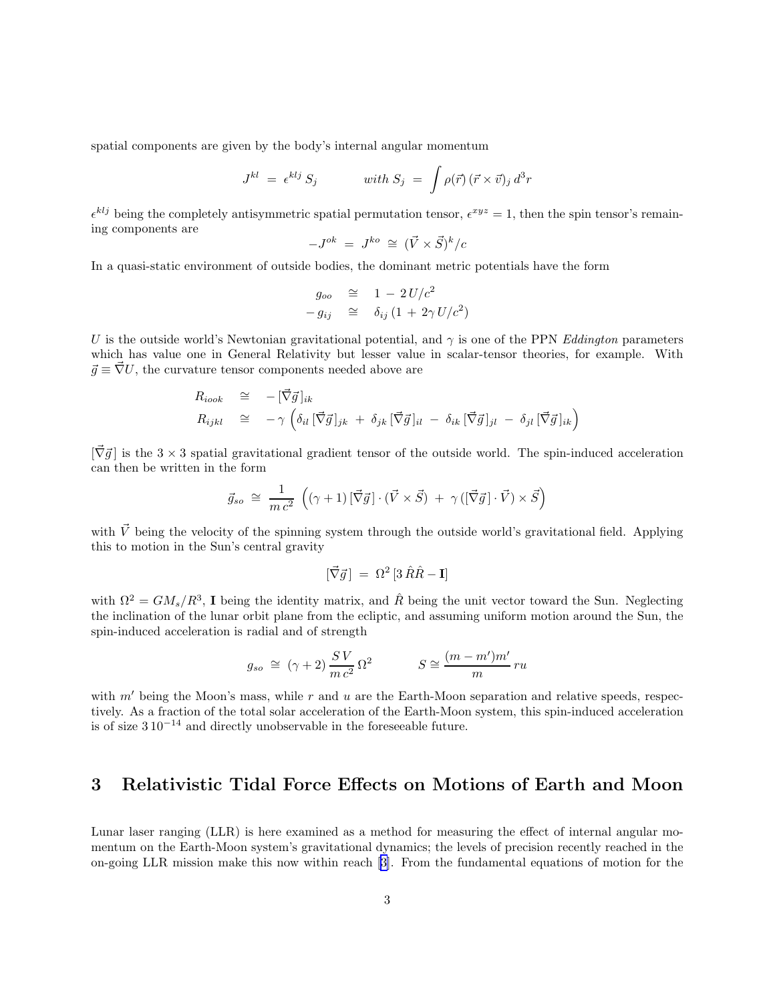spatial components are given by the body's internal angular momentum

$$
J^{kl} = \epsilon^{klj} S_j \qquad \text{with } S_j = \int \rho(\vec{r}) (\vec{r} \times \vec{v})_j d^3r
$$

 $\epsilon^{klj}$  being the completely antisymmetric spatial permutation tensor,  $\epsilon^{xyz} = 1$ , then the spin tensor's remaining components are

$$
-J^{ok} = J^{ko} \cong (\vec{V} \times \vec{S})^k/c
$$

In a quasi-static environment of outside bodies, the dominant metric potentials have the form

$$
g_{oo} \cong 1 - 2U/c^2
$$
  

$$
-g_{ij} \cong \delta_{ij} (1 + 2\gamma U/c^2)
$$

U is the outside world's Newtonian gravitational potential, and  $\gamma$  is one of the PPN Eddington parameters which has value one in General Relativity but lesser value in scalar-tensor theories, for example. With  $\vec{g} \equiv \vec{\nabla} U$ , the curvature tensor components needed above are

$$
R_{iook} \cong -[\vec{\nabla}\vec{g}]_{ik}
$$
  
\n
$$
R_{ijkl} \cong -\gamma \left( \delta_{il} [\vec{\nabla}\vec{g}]_{jk} + \delta_{jk} [\vec{\nabla}\vec{g}]_{il} - \delta_{ik} [\vec{\nabla}\vec{g}]_{jl} - \delta_{jl} [\vec{\nabla}\vec{g}]_{ik} \right)
$$

 $[\vec{\nabla} \vec{g}]$  is the 3 × 3 spatial gravitational gradient tensor of the outside world. The spin-induced acceleration can then be written in the form

$$
\vec{g}_{so} \cong \frac{1}{m c^2} \left( (\gamma + 1) \left[ \vec{\nabla} \vec{g} \right] \cdot (\vec{V} \times \vec{S}) + \gamma \left( \left[ \vec{\nabla} \vec{g} \right] \cdot \vec{V} \right) \times \vec{S} \right)
$$

with  $\vec{V}$  being the velocity of the spinning system through the outside world's gravitational field. Applying this to motion in the Sun's central gravity

$$
[\vec{\nabla}\vec{g}] = \Omega^2 \left[3 \hat{R}\hat{R} - \mathbf{I}\right]
$$

with  $\Omega^2 = GM_s/R^3$ , I being the identity matrix, and  $\hat{R}$  being the unit vector toward the Sun. Neglecting the inclination of the lunar orbit plane from the ecliptic, and assuming uniform motion around the Sun, the spin-induced acceleration is radial and of strength

$$
g_{so} \cong (\gamma + 2) \frac{SV}{m c^2} \Omega^2
$$
  $S \cong \frac{(m - m')m'}{m} ru$ 

with  $m'$  being the Moon's mass, while  $r$  and  $u$  are the Earth-Moon separation and relative speeds, respectively. As a fraction of the total solar acceleration of the Earth-Moon system, this spin-induced acceleration is of size  $310^{-14}$  and directly unobservable in the foreseeable future.

# 3 Relativistic Tidal Force Effects on Motions of Earth and Moon

Lunar laser ranging (LLR) is here examined as a method for measuring the effect of internal angular momentum on the Earth-Moon system's gravitational dynamics; the levels of precision recently reached in the on-going LLR mission make this now within reach[[3\]](#page-8-0). From the fundamental equations of motion for the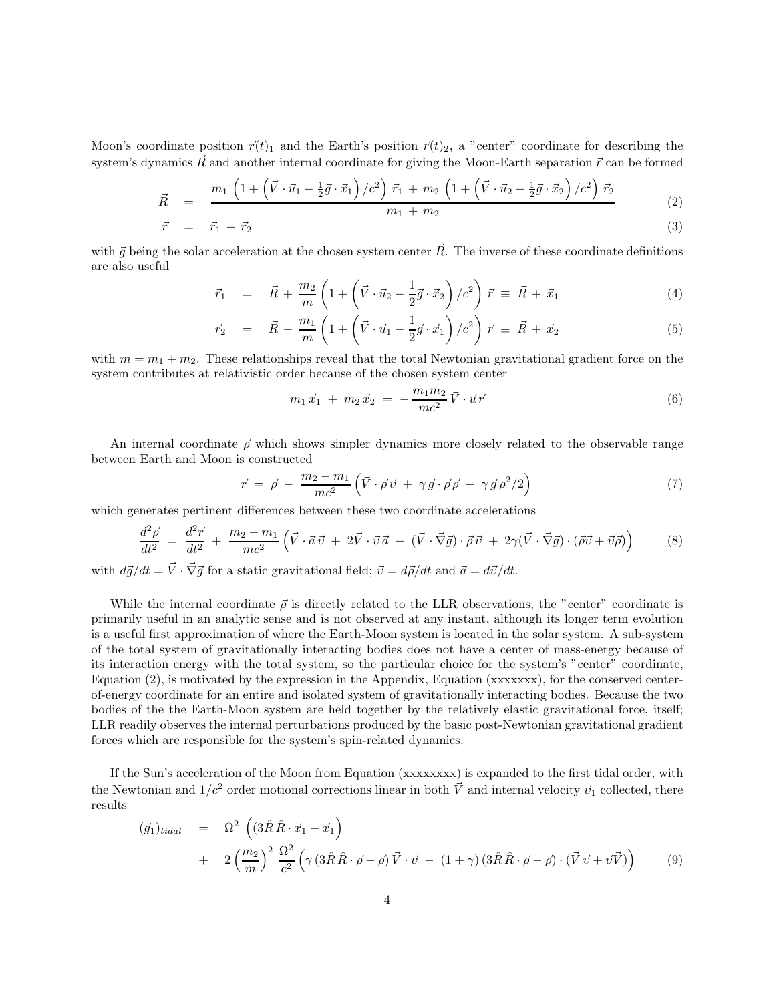Moon's coordinate position  $\vec{r}(t)_1$  and the Earth's position  $\vec{r}(t)_2$ , a "center" coordinate for describing the system's dynamics  $\vec{R}$  and another internal coordinate for giving the Moon-Earth separation  $\vec{r}$  can be formed

$$
\vec{R} = \frac{m_1 \left(1 + \left(\vec{V} \cdot \vec{u}_1 - \frac{1}{2}\vec{g} \cdot \vec{x}_1\right)/c^2\right) \vec{r}_1 + m_2 \left(1 + \left(\vec{V} \cdot \vec{u}_2 - \frac{1}{2}\vec{g} \cdot \vec{x}_2\right)/c^2\right) \vec{r}_2}{m_1 + m_2} \tag{2}
$$

$$
\vec{r} = \vec{r}_1 - \vec{r}_2 \tag{3}
$$

with  $\vec{g}$  being the solar acceleration at the chosen system center  $\vec{R}$ . The inverse of these coordinate definitions are also useful

$$
\vec{r}_1 = \vec{R} + \frac{m_2}{m} \left( 1 + \left( \vec{V} \cdot \vec{u}_2 - \frac{1}{2} \vec{g} \cdot \vec{x}_2 \right) / c^2 \right) \vec{r} \equiv \vec{R} + \vec{x}_1 \tag{4}
$$

$$
\vec{r}_2 = \vec{R} - \frac{m_1}{m} \left( 1 + \left( \vec{V} \cdot \vec{u}_1 - \frac{1}{2} \vec{g} \cdot \vec{x}_1 \right) / c^2 \right) \vec{r} \equiv \vec{R} + \vec{x}_2 \tag{5}
$$

with  $m = m_1 + m_2$ . These relationships reveal that the total Newtonian gravitational gradient force on the system contributes at relativistic order because of the chosen system center

$$
m_1 \vec{x}_1 + m_2 \vec{x}_2 = -\frac{m_1 m_2}{mc^2} \vec{V} \cdot \vec{u} \vec{r}
$$
 (6)

An internal coordinate  $\vec{\rho}$  which shows simpler dynamics more closely related to the observable range between Earth and Moon is constructed

$$
\vec{r} = \vec{\rho} - \frac{m_2 - m_1}{mc^2} \left( \vec{V} \cdot \vec{\rho} \vec{v} + \gamma \vec{g} \cdot \vec{\rho} \vec{\rho} - \gamma \vec{g} \rho^2 / 2 \right)
$$
(7)

which generates pertinent differences between these two coordinate accelerations

$$
\frac{d^2\vec{\rho}}{dt^2} = \frac{d^2\vec{r}}{dt^2} + \frac{m_2 - m_1}{mc^2} \left( \vec{V} \cdot \vec{a}\,\vec{v} + 2\vec{V} \cdot \vec{v}\,\vec{a} + (\vec{V} \cdot \vec{\nabla}\vec{g}) \cdot \vec{\rho}\,\vec{v} + 2\gamma(\vec{V} \cdot \vec{\nabla}\vec{g}) \cdot (\vec{\rho}\vec{v} + \vec{v}\vec{\rho}) \right)
$$
(8)

with  $d\vec{g}/dt = \vec{V} \cdot \vec{\nabla} \vec{g}$  for a static gravitational field;  $\vec{v} = d\vec{\rho}/dt$  and  $\vec{a} = d\vec{v}/dt$ .

While the internal coordinate  $\vec{\rho}$  is directly related to the LLR observations, the "center" coordinate is primarily useful in an analytic sense and is not observed at any instant, although its longer term evolution is a useful first approximation of where the Earth-Moon system is located in the solar system. A sub-system of the total system of gravitationally interacting bodies does not have a center of mass-energy because of its interaction energy with the total system, so the particular choice for the system's "center" coordinate, Equation (2), is motivated by the expression in the Appendix, Equation (xxxxxxx), for the conserved centerof-energy coordinate for an entire and isolated system of gravitationally interacting bodies. Because the two bodies of the the Earth-Moon system are held together by the relatively elastic gravitational force, itself; LLR readily observes the internal perturbations produced by the basic post-Newtonian gravitational gradient forces which are responsible for the system's spin-related dynamics.

If the Sun's acceleration of the Moon from Equation (xxxxxxxx) is expanded to the first tidal order, with the Newtonian and  $1/c^2$  order motional corrections linear in both  $\vec{V}$  and internal velocity  $\vec{v}_1$  collected, there results

$$
(\vec{g}_1)_{tidal} = \Omega^2 \left( (3\hat{R}\hat{R}\cdot\vec{x}_1 - \vec{x}_1) + 2\left(\frac{m_2}{m}\right)^2 \frac{\Omega^2}{c^2} \left( \gamma \left( 3\hat{R}\hat{R}\cdot\vec{\rho} - \vec{\rho} \right) \vec{V}\cdot\vec{v} - (1+\gamma) \left( 3\hat{R}\hat{R}\cdot\vec{\rho} - \vec{\rho} \right) \cdot \left( \vec{V}\,\vec{v} + \vec{v}\vec{V} \right) \right) \tag{9}
$$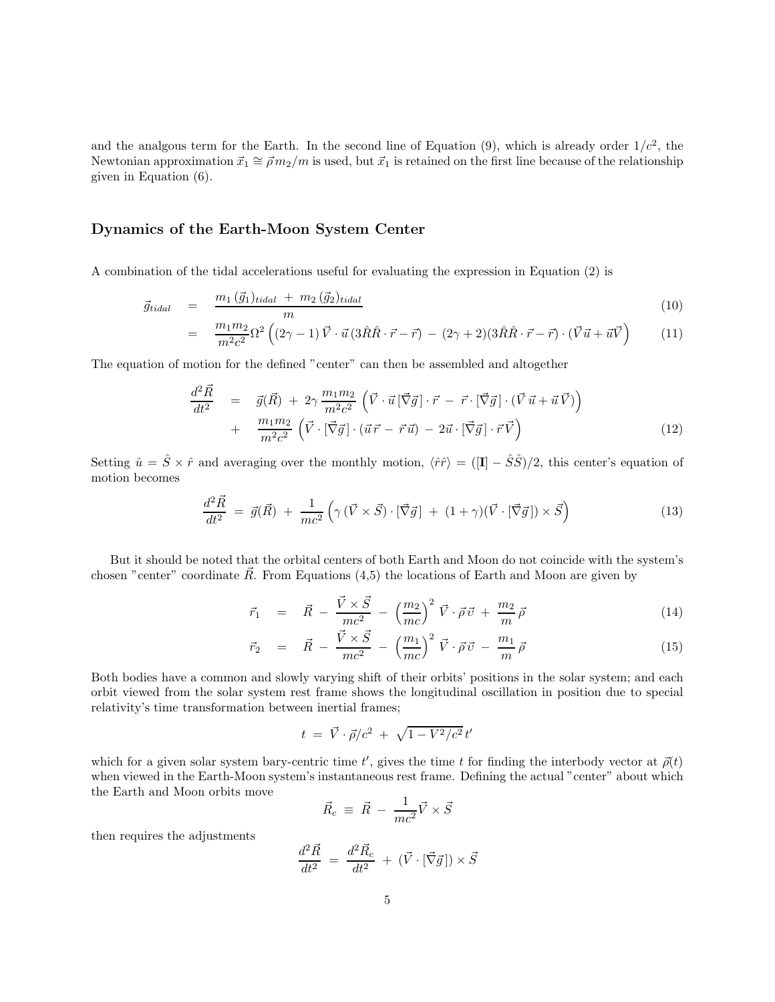and the analgous term for the Earth. In the second line of Equation  $(9)$ , which is already order  $1/c^2$ , the Newtonian approximation  $\vec{x}_1 \cong \vec{\rho} m_2/m$  is used, but  $\vec{x}_1$  is retained on the first line because of the relationship given in Equation (6).

#### Dynamics of the Earth-Moon System Center

A combination of the tidal accelerations useful for evaluating the expression in Equation (2) is

$$
\vec{g}_{tidal} = \frac{m_1(\vec{g}_1)_{tidal} + m_2(\vec{g}_2)_{tidal}}{m} \tag{10}
$$

$$
= \frac{m_1 m_2}{m^2 c^2} \Omega^2 \left( (2\gamma - 1) \vec{V} \cdot \vec{u} \left( 3\hat{R}\hat{R}\cdot\vec{r} - \vec{r} \right) - (2\gamma + 2)(3\hat{R}\hat{R}\cdot\vec{r} - \vec{r}) \cdot (\vec{V}\vec{u} + \vec{u}\vec{V}) \right) \tag{11}
$$

The equation of motion for the defined "center" can then be assembled and altogether

$$
\frac{d^2 \vec{R}}{dt^2} = \vec{g}(\vec{R}) + 2\gamma \frac{m_1 m_2}{m^2 c^2} \left( \vec{V} \cdot \vec{u} \left[ \vec{\nabla} \vec{g} \right] \cdot \vec{r} - \vec{r} \cdot \left[ \vec{\nabla} \vec{g} \right] \cdot \left( \vec{V} \vec{u} + \vec{u} \vec{V} \right) \right) \n+ \frac{m_1 m_2}{m^2 c^2} \left( \vec{V} \cdot \left[ \vec{\nabla} \vec{g} \right] \cdot \left( \vec{u} \vec{r} - \vec{r} \vec{u} \right) - 2 \vec{u} \cdot \left[ \vec{\nabla} \vec{g} \right] \cdot \vec{r} \vec{V} \right)
$$
\n(12)

Setting  $\hat{u} = \hat{S} \times \hat{r}$  and averaging over the monthly motion,  $\langle \hat{r}\hat{r} \rangle = (I - \hat{S}\hat{S})/2$ , this center's equation of motion becomes

$$
\frac{d^2\vec{R}}{dt^2} = \vec{g}(\vec{R}) + \frac{1}{mc^2} \left( \gamma \left( \vec{V} \times \vec{S} \right) \cdot \left[ \vec{\nabla}\vec{g} \right] + (1+\gamma)(\vec{V} \cdot \left[ \vec{\nabla}\vec{g} \right] ) \times \vec{S} \right)
$$
(13)

But it should be noted that the orbital centers of both Earth and Moon do not coincide with the system's chosen "center" coordinate  $\vec{R}$ . From Equations (4,5) the locations of Earth and Moon are given by

$$
\vec{r}_1 = \vec{R} - \frac{\vec{V} \times \vec{S}}{mc^2} - \left(\frac{m_2}{mc}\right)^2 \vec{V} \cdot \vec{\rho} \vec{v} + \frac{m_2}{m} \vec{\rho}
$$
\n(14)

$$
\vec{r}_2 = \vec{R} - \frac{\vec{V} \times \vec{S}}{mc^2} - \left(\frac{m_1}{mc}\right)^2 \vec{V} \cdot \vec{\rho} \vec{v} - \frac{m_1}{m} \vec{\rho}
$$
\n(15)

Both bodies have a common and slowly varying shift of their orbits' positions in the solar system; and each orbit viewed from the solar system rest frame shows the longitudinal oscillation in position due to special relativity's time transformation between inertial frames;

$$
t = \vec{V} \cdot \vec{\rho}/c^2 + \sqrt{1 - V^2/c^2} t'
$$

which for a given solar system bary-centric time t', gives the time t for finding the interbody vector at  $\vec{\rho}(t)$ when viewed in the Earth-Moon system's instantaneous rest frame. Defining the actual "center" about which the Earth and Moon orbits move

$$
\vec{R}_c \equiv \vec{R} - \frac{1}{mc^2}\vec{V} \times \vec{S}
$$

then requires the adjustments

$$
\frac{d^2\vec{R}}{dt^2} = \frac{d^2\vec{R}_c}{dt^2} + (\vec{V} \cdot [\vec{\nabla}\vec{g}]) \times \vec{S}
$$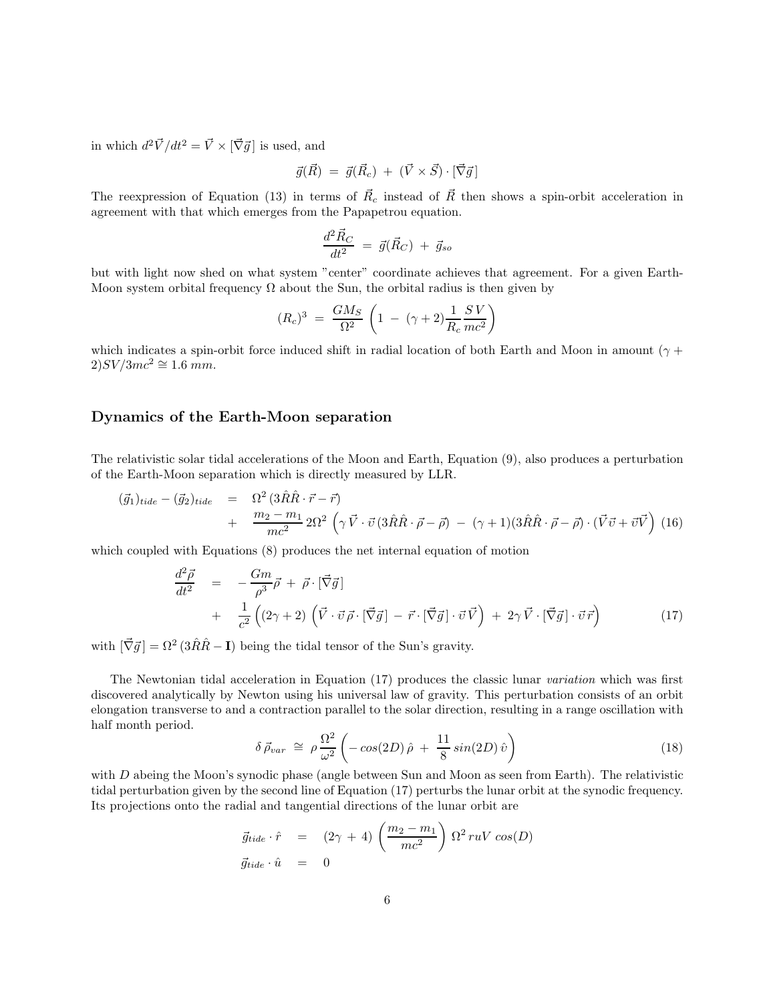in which  $d^2 \vec{V} / dt^2 = \vec{V} \times [\vec{\nabla} \vec{g}]$  is used, and

$$
\vec{g}(\vec{R}) = \vec{g}(\vec{R}_c) + (\vec{V} \times \vec{S}) \cdot [\vec{\nabla}\vec{g}]
$$

The reexpression of Equation (13) in terms of  $\vec{R}_c$  instead of  $\vec{R}$  then shows a spin-orbit acceleration in agreement with that which emerges from the Papapetrou equation.

$$
\frac{d^2 \vec{R}_C}{dt^2} = \vec{g}(\vec{R}_C) + \vec{g}_{so}
$$

but with light now shed on what system "center" coordinate achieves that agreement. For a given Earth-Moon system orbital frequency  $\Omega$  about the Sun, the orbital radius is then given by

$$
(R_c)^3 = \frac{GM_S}{\Omega^2} \left(1 - (\gamma + 2)\frac{1}{R_c}\frac{SV}{mc^2}\right)
$$

which indicates a spin-orbit force induced shift in radial location of both Earth and Moon in amount ( $\gamma$  +  $2)SV/3mc^2 \cong 1.6 mm$ .

#### Dynamics of the Earth-Moon separation

The relativistic solar tidal accelerations of the Moon and Earth, Equation (9), also produces a perturbation of the Earth-Moon separation which is directly measured by LLR.

$$
(\vec{g}_1)_{tide} - (\vec{g}_2)_{tide} = \Omega^2 (3\hat{R}\hat{R}\cdot\vec{r} - \vec{r})
$$
  
+ 
$$
\frac{m_2 - m_1}{mc^2} 2\Omega^2 \left(\gamma \vec{V}\cdot\vec{v} (3\hat{R}\hat{R}\cdot\vec{\rho} - \vec{\rho}) - (\gamma + 1)(3\hat{R}\hat{R}\cdot\vec{\rho} - \vec{\rho}) \cdot (\vec{V}\vec{v} + \vec{v}\vec{V}) (16) \right)
$$

which coupled with Equations (8) produces the net internal equation of motion

$$
\frac{d^2\vec{\rho}}{dt^2} = -\frac{Gm}{\rho^3}\vec{\rho} + \vec{\rho} \cdot [\vec{\nabla}\vec{g}] \n+ \frac{1}{c^2} \left( (2\gamma + 2) \left( \vec{V} \cdot \vec{v} \, \vec{\rho} \cdot [\vec{\nabla}\vec{g}] - \vec{r} \cdot [\vec{\nabla}\vec{g}] \cdot \vec{v} \, \vec{V} \right) + 2\gamma \, \vec{V} \cdot [\vec{\nabla}\vec{g}] \cdot \vec{v} \, \vec{r} \right)
$$
\n(17)

with  $[\vec{\nabla} \vec{g}] = \Omega^2 (3\hat{R}\hat{R} - I)$  being the tidal tensor of the Sun's gravity.

The Newtonian tidal acceleration in Equation (17) produces the classic lunar variation which was first discovered analytically by Newton using his universal law of gravity. This perturbation consists of an orbit elongation transverse to and a contraction parallel to the solar direction, resulting in a range oscillation with half month period.

$$
\delta \vec{\rho}_{var} \cong \rho \frac{\Omega^2}{\omega^2} \left( -\cos(2D)\hat{\rho} + \frac{11}{8}\sin(2D)\hat{v} \right) \tag{18}
$$

with D abeing the Moon's synodic phase (angle between Sun and Moon as seen from Earth). The relativistic tidal perturbation given by the second line of Equation (17) perturbs the lunar orbit at the synodic frequency. Its projections onto the radial and tangential directions of the lunar orbit are

$$
\vec{g}_{tide} \cdot \hat{r} = (2\gamma + 4) \left(\frac{m_2 - m_1}{mc^2}\right) \Omega^2 r u V \cos(D)
$$
  

$$
\vec{g}_{tide} \cdot \hat{u} = 0
$$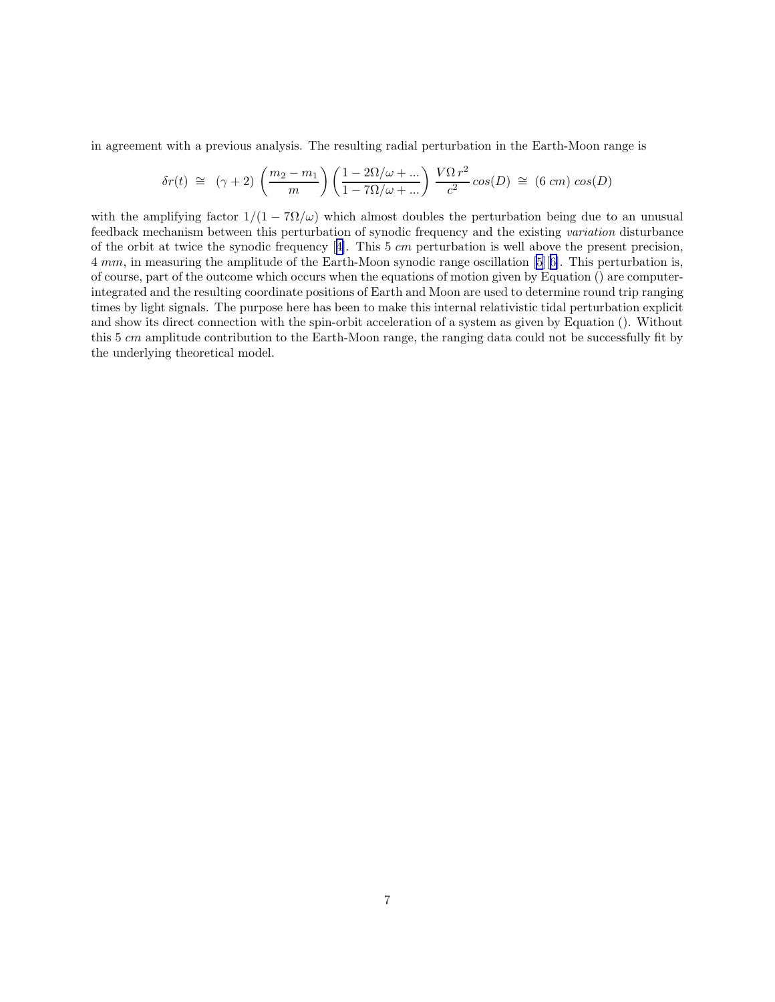in agreement with a previous analysis. The resulting radial perturbation in the Earth-Moon range is

$$
\delta r(t) \approx (\gamma + 2) \left( \frac{m_2 - m_1}{m} \right) \left( \frac{1 - 2\Omega/\omega + \dots}{1 - 7\Omega/\omega + \dots} \right) \frac{V\Omega r^2}{c^2} \cos(D) \approx (6 \text{ cm}) \cos(D)
$$

with the amplifying factor  $1/(1 - 7\Omega/\omega)$  which almost doubles the perturbation being due to an unusual feedback mechanism between this perturbation of synodic frequency and the existing variation disturbance ofthe orbit at twice the synodic frequency  $[4]$  $[4]$ . This 5 cm perturbation is well above the present precision, 4 mm, in measuring the amplitude of the Earth-Moon synodic range oscillation [\[5](#page-8-0)][[6\]](#page-9-0). This perturbation is, of course, part of the outcome which occurs when the equations of motion given by Equation () are computerintegrated and the resulting coordinate positions of Earth and Moon are used to determine round trip ranging times by light signals. The purpose here has been to make this internal relativistic tidal perturbation explicit and show its direct connection with the spin-orbit acceleration of a system as given by Equation (). Without this 5 cm amplitude contribution to the Earth-Moon range, the ranging data could not be successfully fit by the underlying theoretical model.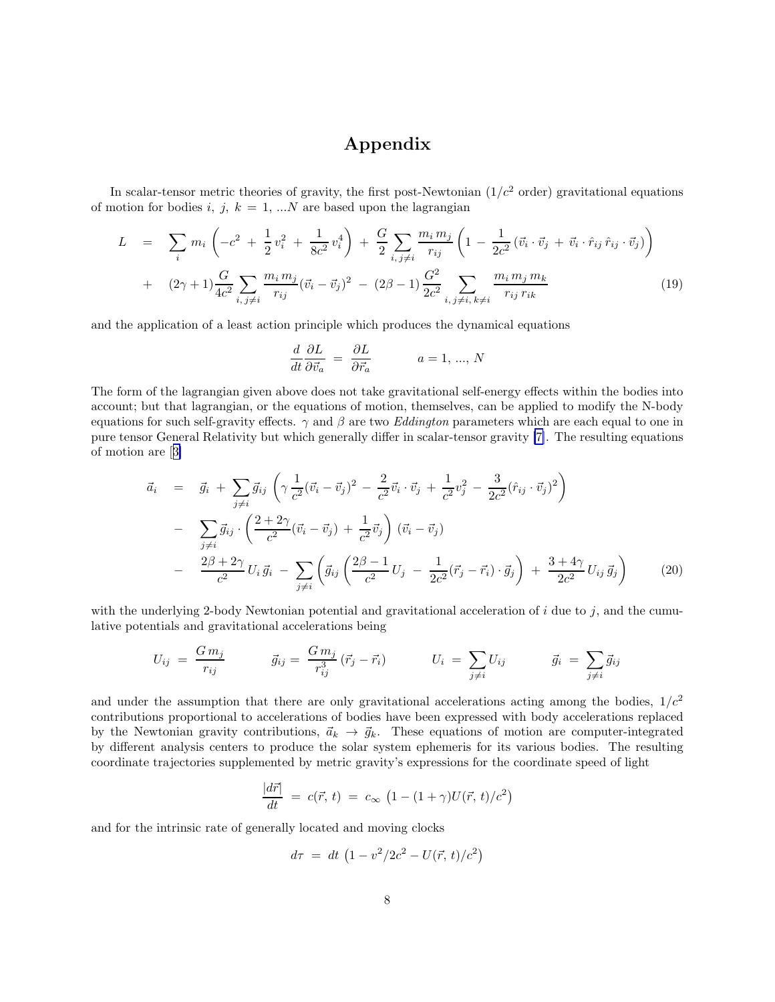# Appendix

In scalar-tensor metric theories of gravity, the first post-Newtonian  $(1/c^2 \text{ order})$  gravitational equations of motion for bodies i, j,  $k = 1, \ldots N$  are based upon the lagrangian

$$
L = \sum_{i} m_{i} \left( -c^{2} + \frac{1}{2} v_{i}^{2} + \frac{1}{8c^{2}} v_{i}^{4} \right) + \frac{G}{2} \sum_{i, j \neq i} \frac{m_{i} m_{j}}{r_{ij}} \left( 1 - \frac{1}{2c^{2}} (\vec{v}_{i} \cdot \vec{v}_{j} + \vec{v}_{i} \cdot \hat{r}_{ij} \cdot \vec{v}_{j}) \right) + (2\gamma + 1) \frac{G}{4c^{2}} \sum_{i, j \neq i} \frac{m_{i} m_{j}}{r_{ij}} (\vec{v}_{i} - \vec{v}_{j})^{2} - (2\beta - 1) \frac{G^{2}}{2c^{2}} \sum_{i, j \neq i, k \neq i} \frac{m_{i} m_{j} m_{k}}{r_{ij} r_{ik}} \qquad (19)
$$

and the application of a least action principle which produces the dynamical equations

$$
\frac{d}{dt}\frac{\partial L}{\partial \vec{v}_a} = \frac{\partial L}{\partial \vec{r}_a}
$$
  $a = 1, ..., N$ 

The form of the lagrangian given above does not take gravitational self-energy effects within the bodies into account; but that lagrangian, or the equations of motion, themselves, can be applied to modify the N-body equations for such self-gravity effects.  $\gamma$  and  $\beta$  are two *Eddington* parameters which are each equal to one in pure tensor General Relativity but which generally differ in scalar-tensor gravity [\[7\]](#page-9-0). The resulting equations of motion are[[3\]](#page-8-0)

$$
\vec{a}_{i} = \vec{g}_{i} + \sum_{j \neq i} \vec{g}_{ij} \left( \gamma \frac{1}{c^{2}} (\vec{v}_{i} - \vec{v}_{j})^{2} - \frac{2}{c^{2}} \vec{v}_{i} \cdot \vec{v}_{j} + \frac{1}{c^{2}} v_{j}^{2} - \frac{3}{2c^{2}} (\hat{r}_{ij} \cdot \vec{v}_{j})^{2} \right) \n- \sum_{j \neq i} \vec{g}_{ij} \cdot \left( \frac{2 + 2\gamma}{c^{2}} (\vec{v}_{i} - \vec{v}_{j}) + \frac{1}{c^{2}} \vec{v}_{j} \right) (\vec{v}_{i} - \vec{v}_{j}) \n- \frac{2\beta + 2\gamma}{c^{2}} U_{i} \vec{g}_{i} - \sum_{j \neq i} \left( \vec{g}_{ij} \left( \frac{2\beta - 1}{c^{2}} U_{j} - \frac{1}{2c^{2}} (\vec{r}_{j} - \vec{r}_{i}) \cdot \vec{g}_{j} \right) + \frac{3 + 4\gamma}{2c^{2}} U_{ij} \vec{g}_{j} \right)
$$
\n(20)

with the underlying 2-body Newtonian potential and gravitational acceleration of  $i$  due to  $j$ , and the cumulative potentials and gravitational accelerations being

$$
U_{ij} = \frac{G m_j}{r_{ij}} \qquad \qquad \vec{g}_{ij} = \frac{G m_j}{r_{ij}^3} (\vec{r}_j - \vec{r}_i) \qquad \qquad U_i = \sum_{j \neq i} U_{ij} \qquad \qquad \vec{g}_i = \sum_{j \neq i} \vec{g}_{ij}
$$

and under the assumption that there are only gravitational accelerations acting among the bodies,  $1/c<sup>2</sup>$ contributions proportional to accelerations of bodies have been expressed with body accelerations replaced by the Newtonian gravity contributions,  $\vec{a}_k \rightarrow \vec{g}_k$ . These equations of motion are computer-integrated by different analysis centers to produce the solar system ephemeris for its various bodies. The resulting coordinate trajectories supplemented by metric gravity's expressions for the coordinate speed of light

$$
\frac{|d\vec{r}|}{dt} = c(\vec{r}, t) = c_{\infty} \left(1 - (1 + \gamma)U(\vec{r}, t)/c^2\right)
$$

and for the intrinsic rate of generally located and moving clocks

$$
d\tau \ = \ dt \ \left( 1 - v^2/2c^2 - U(\vec r, \, t)/c^2 \right)
$$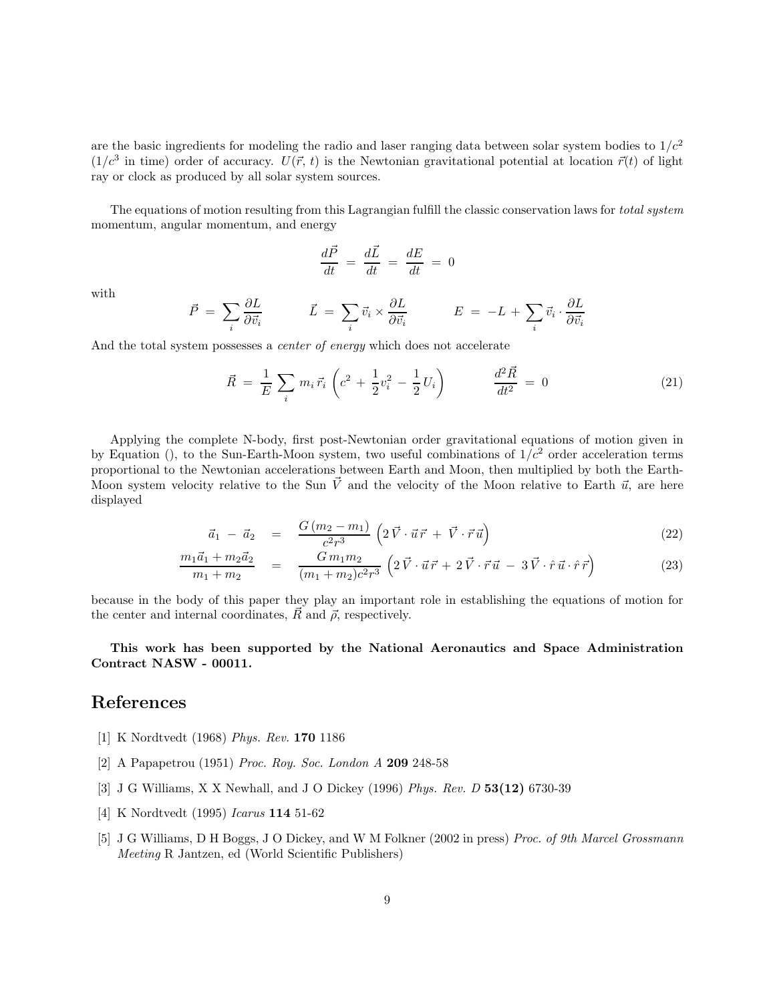<span id="page-8-0"></span>are the basic ingredients for modeling the radio and laser ranging data between solar system bodies to  $1/c<sup>2</sup>$  $(1/c^3$  in time) order of accuracy.  $U(\vec{r}, t)$  is the Newtonian gravitational potential at location  $\vec{r}(t)$  of light ray or clock as produced by all solar system sources.

The equations of motion resulting from this Lagrangian fulfill the classic conservation laws for *total system* momentum, angular momentum, and energy

$$
\frac{d\vec{P}}{dt} = \frac{d\vec{L}}{dt} = \frac{dE}{dt} = 0
$$

with

$$
\vec{P}~=~\sum_i \frac{\partial L}{\partial \vec{v_i}} \qquad \qquad \vec{L}~=~\sum_i \vec{v_i} \times \frac{\partial L}{\partial \vec{v_i}} \qquad \qquad E~=~-L~+~\sum_i \vec{v_i} \cdot \frac{\partial L}{\partial \vec{v_i}}
$$

And the total system possesses a *center of energy* which does not accelerate

$$
\vec{R} = \frac{1}{E} \sum_{i} m_{i} \vec{r}_{i} \left( c^{2} + \frac{1}{2} v_{i}^{2} - \frac{1}{2} U_{i} \right) \qquad \frac{d^{2} \vec{R}}{dt^{2}} = 0 \qquad (21)
$$

Applying the complete N-body, first post-Newtonian order gravitational equations of motion given in by Equation (), to the Sun-Earth-Moon system, two useful combinations of  $1/c<sup>2</sup>$  order acceleration terms proportional to the Newtonian accelerations between Earth and Moon, then multiplied by both the Earth-Moon system velocity relative to the Sun  $\vec{V}$  and the velocity of the Moon relative to Earth  $\vec{u}$ , are here displayed

$$
\vec{a}_1 - \vec{a}_2 = \frac{G(m_2 - m_1)}{c^2 r^3} \left( 2 \vec{V} \cdot \vec{u} \vec{r} + \vec{V} \cdot \vec{r} \vec{u} \right)
$$
(22)

$$
\frac{m_1\vec{a}_1 + m_2\vec{a}_2}{m_1 + m_2} = \frac{Gm_1m_2}{(m_1 + m_2)c^2r^3} \left(2\vec{V}\cdot\vec{u}\vec{r} + 2\vec{V}\cdot\vec{r}\vec{u} - 3\vec{V}\cdot\hat{r}\vec{u}\cdot\hat{r}\vec{r}\right)
$$
(23)

because in the body of this paper they play an important role in establishing the equations of motion for the center and internal coordinates,  $\vec{R}$  and  $\vec{\rho}$ , respectively.

#### This work has been supported by the National Aeronautics and Space Administration Contract NASW - 00011.

### References

- [1] K Nordtvedt (1968) Phys. Rev. 170 1186
- [2] A Papapetrou (1951) Proc. Roy. Soc. London A 209 248-58
- [3] J G Williams, X X Newhall, and J O Dickey (1996) Phys. Rev. D 53(12) 6730-39
- [4] K Nordtvedt (1995) Icarus 114 51-62
- [5] J G Williams, D H Boggs, J O Dickey, and W M Folkner (2002 in press) Proc. of 9th Marcel Grossmann Meeting R Jantzen, ed (World Scientific Publishers)